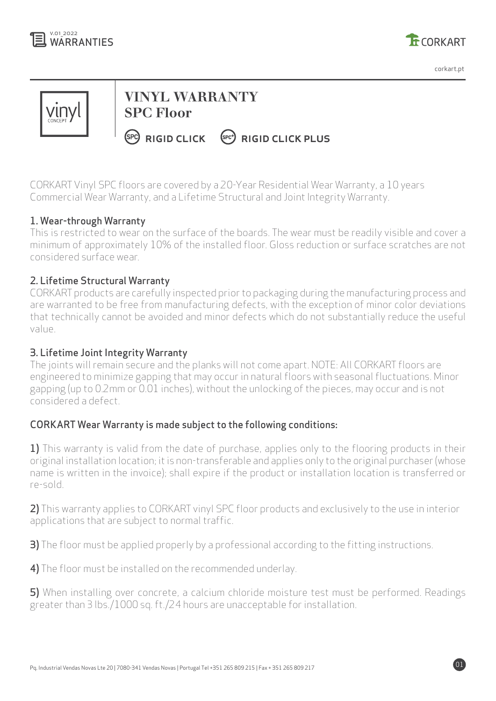



corkart.pt

01



# **VINYL WARRANTY SPC Floor**

 $F<sup>2</sup>$  RIGID CLICK  $F<sup>2</sup>$  RIGID CLICK PLUS

CORKART Vinyl SPC floors are covered by a 20-Year Residential Wear Warranty, a 10 years Commercial Wear Warranty, and a Lifetime Structural and Joint Integrity Warranty.

# 1. Wear-through Warranty

This is restricted to wear on the surface of the boards. The wear must be readily visible and cover a minimum of approximately 10% of the installed floor. Gloss reduction or surface scratches are not considered surface wear.

# 2. Lifetime Structural Warranty

CORKART products are carefully inspected prior to packaging during the manufacturing process and are warranted to be free from manufacturing defects, with the exception of minor color deviations that technically cannot be avoided and minor defects which do not substantially reduce the useful value.

#### 3. Lifetime Joint Integrity Warranty

The joints will remain secure and the planks will not come apart. NOTE: All CORKART floors are engineered to minimize gapping that may occur in natural floors with seasonal fluctuations. Minor gapping (up to 0.2mm or 0.01 inches), without the unlocking of the pieces, may occur and is not considered a defect.

#### CORKART Wear Warranty is made subject to the following conditions:

1) This warranty is valid from the date of purchase, applies only to the flooring products in their original installation location; it is non-transferable and applies only to the original purchaser (whose name is written in the invoice); shall expire if the product or installation location is transferred or re-sold.

2) This warranty applies to CORKART vinyl SPC floor products and exclusively to the use in interior applications that are subject to normal traffic.

3) The floor must be applied properly by a professional according to the fitting instructions.

4) The floor must be installed on the recommended underlay.

5) When installing over concrete, a calcium chloride moisture test must be performed. Readings greater than 3 lbs./1000 sq. ft./24 hours are unacceptable for installation.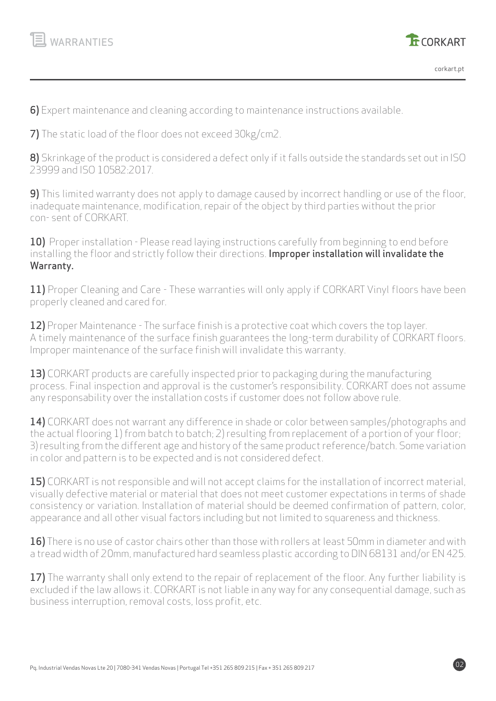



02

6) Expert maintenance and cleaning according to maintenance instructions available.

7) The static load of the floor does not exceed 30kg/cm2.

8) Skrinkage of the product is considered a defect only if it falls outside the standards set out in ISO 23999 and ISO 10582:2017.

9) This limited warranty does not apply to damage caused by incorrect handling or use of the floor, inadequate maintenance, modification, repair of the object by third parties without the prior con- sent of CORKART.

10) Proper installation - Please read laying instructions carefully from beginning to end before installing the floor and strictly follow their directions. Improper installation will invalidate the Warranty.

11) Proper Cleaning and Care - These warranties will only apply if CORKART Vinyl floors have been properly cleaned and cared for.

12) Proper Maintenance - The surface finish is a protective coat which covers the top layer. A timely maintenance of the surface finish guarantees the long-term durability of CORKART floors. Improper maintenance of the surface finish will invalidate this warranty.

13) CORKART products are carefully inspected prior to packaging during the manufacturing process. Final inspection and approval is the customer's responsibility. CORKART does not assume any responsability over the installation costs if customer does not follow above rule.

14) CORKART does not warrant any difference in shade or color between samples/photographs and the actual flooring 1) from batch to batch; 2) resulting from replacement of a portion of your floor; 3) resulting from the different age and history of the same product reference/batch. Some variation in color and pattern is to be expected and is not considered defect.

15) CORKART is not responsible and will not accept claims for the installation of incorrect material, visually defective material or material that does not meet customer expectations in terms of shade consistency or variation. Installation of material should be deemed confirmation of pattern, color, appearance and all other visual factors including but not limited to squareness and thickness.

16) There is no use of castor chairs other than those with rollers at least 50mm in diameter and with a tread width of 20mm, manufactured hard seamless plastic according to DIN 68131 and/or EN 425.

17) The warranty shall only extend to the repair of replacement of the floor. Any further liability is excluded if the law allows it. CORKART is not liable in any way for any consequential damage, such as business interruption, removal costs, loss profit, etc.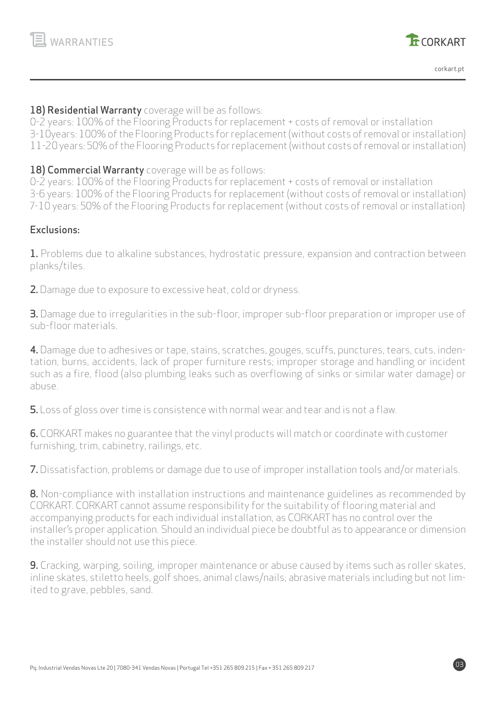



03

#### 18) Residential Warranty coverage will be as follows:

0-2 years: 100% of the Flooring Products for replacement + costs of removal or installation 3-10years: 100% of the Flooring Products for replacement (without costs of removal or installation) 11-20 years: 50% of the Flooring Products for replacement (without costs of removal or installation)

**18) Commercial Warranty** coverage will be as follows:

0-2 years: 100% of the Flooring Products for replacement + costs of removal or installation 3-6 years: 100% of the Flooring Products for replacement (without costs of removal or installation) 7-10 years: 50% of the Flooring Products for replacement (without costs of removal or installation)

# Exclusions:

1. Problems due to alkaline substances, hydrostatic pressure, expansion and contraction between planks/tiles.

2. Damage due to exposure to excessive heat, cold or dryness.

**3.** Damage due to irregularities in the sub-floor, improper sub-floor preparation or improper use of sub-floor materials.

4. Damage due to adhesives or tape, stains, scratches, gouges, scuffs, punctures, tears, cuts, indentation, burns, accidents, lack of proper furniture rests; improper storage and handling or incident such as a fire, flood (also plumbing leaks such as overflowing of sinks or similar water damage) or abuse.

5. Loss of gloss over time is consistence with normal wear and tear and is not a flaw.

6. CORKART makes no guarantee that the vinyl products will match or coordinate with customer furnishing, trim, cabinetry, railings, etc.

7. Dissatisfaction, problems or damage due to use of improper installation tools and/or materials.

**8.** Non-compliance with installation instructions and maintenance guidelines as recommended by CORKART. CORKART cannot assume responsibility for the suitability of flooring material and accompanying products for each individual installation, as CORKART has no control over the installer's proper application. Should an individual piece be doubtful as to appearance or dimension the installer should not use this piece.

9. Cracking, warping, soiling, improper maintenance or abuse caused by items such as roller skates, inline skates, stiletto heels, golf shoes, animal claws/nails; abrasive materials including but not limited to grave, pebbles, sand.